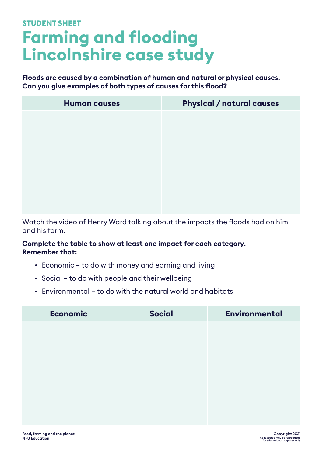## **Farming and flooding Lincolnshire case study STUDENT SHEET**

**Floods are caused by a combination of human and natural or physical causes. Can you give examples of both types of causes for this flood?**

| <b>Human causes</b> | <b>Physical / natural causes</b> |
|---------------------|----------------------------------|
|                     |                                  |
|                     |                                  |
|                     |                                  |
|                     |                                  |
|                     |                                  |
|                     |                                  |
|                     |                                  |

Watch the video of Henry Ward talking about the impacts the floods had on him and his farm.

## **Complete the table to show at least one impact for each category. Remember that:**

- Economic to do with money and earning and living
- Social to do with people and their wellbeing
- Environmental to do with the natural world and habitats

| <b>Social</b> | <b>Environmental</b> |
|---------------|----------------------|
|               |                      |
|               |                      |
|               |                      |
|               |                      |
|               |                      |
|               |                      |
|               |                      |
|               |                      |